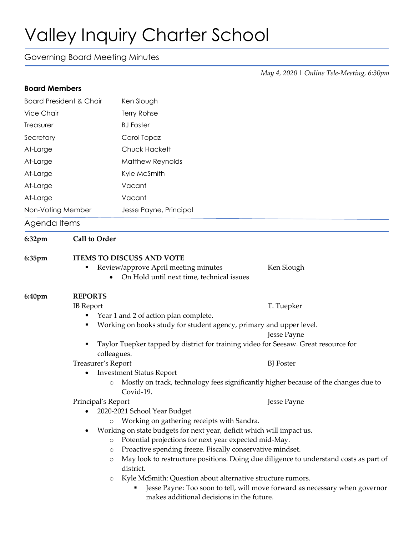## Valley Inquiry Charter School

Governing Board Meeting Minutes

*May 4, 2020 | Online Tele-Meeting, 6:30pm*

| <b>Board President &amp; Chair</b> |                                                                                                                                                                                | Ken Slough                                                                                                            |                                                                                       |  |          |
|------------------------------------|--------------------------------------------------------------------------------------------------------------------------------------------------------------------------------|-----------------------------------------------------------------------------------------------------------------------|---------------------------------------------------------------------------------------|--|----------|
| Vice Chair                         |                                                                                                                                                                                | Terry Rohse                                                                                                           |                                                                                       |  |          |
| Treasurer                          |                                                                                                                                                                                | <b>BJ</b> Foster                                                                                                      |                                                                                       |  |          |
| Secretary                          |                                                                                                                                                                                | Carol Topaz                                                                                                           |                                                                                       |  |          |
| At-Large                           |                                                                                                                                                                                | <b>Chuck Hackett</b>                                                                                                  |                                                                                       |  |          |
| At-Large                           |                                                                                                                                                                                | Matthew Reynolds                                                                                                      |                                                                                       |  |          |
| At-Large<br>At-Large               |                                                                                                                                                                                | Kyle McSmith<br>Vacant                                                                                                |                                                                                       |  |          |
|                                    |                                                                                                                                                                                |                                                                                                                       |                                                                                       |  | At-Large |
| Non-Voting Member                  |                                                                                                                                                                                | Jesse Payne, Principal                                                                                                |                                                                                       |  |          |
| Agenda Items                       |                                                                                                                                                                                |                                                                                                                       |                                                                                       |  |          |
| 6:32pm                             | <b>Call to Order</b>                                                                                                                                                           |                                                                                                                       |                                                                                       |  |          |
| 6:35pm                             | п                                                                                                                                                                              | <b>ITEMS TO DISCUSS AND VOTE</b><br>Review/approve April meeting minutes<br>On Hold until next time, technical issues | Ken Slough                                                                            |  |          |
| 6:40pm                             | <b>REPORTS</b>                                                                                                                                                                 |                                                                                                                       |                                                                                       |  |          |
|                                    | <b>IB</b> Report                                                                                                                                                               |                                                                                                                       | T. Tuepker                                                                            |  |          |
|                                    | Year 1 and 2 of action plan complete.                                                                                                                                          |                                                                                                                       |                                                                                       |  |          |
|                                    | Working on books study for student agency, primary and upper level.<br>Jesse Payne<br>Taylor Tuepker tapped by district for training video for Seesaw. Great resource for<br>٠ |                                                                                                                       |                                                                                       |  |          |
|                                    |                                                                                                                                                                                |                                                                                                                       |                                                                                       |  |          |
|                                    | colleagues.                                                                                                                                                                    |                                                                                                                       |                                                                                       |  |          |
|                                    | Treasurer's Report                                                                                                                                                             |                                                                                                                       | <b>BJ</b> Foster                                                                      |  |          |
|                                    | <b>Investment Status Report</b>                                                                                                                                                |                                                                                                                       |                                                                                       |  |          |
|                                    | Mostly on track, technology fees significantly higher because of the changes due to<br>$\circ$<br>Covid-19.                                                                    |                                                                                                                       |                                                                                       |  |          |
|                                    | Principal's Report                                                                                                                                                             |                                                                                                                       | Jesse Payne                                                                           |  |          |
|                                    | 2020-2021 School Year Budget                                                                                                                                                   |                                                                                                                       |                                                                                       |  |          |
|                                    | Working on gathering receipts with Sandra.                                                                                                                                     |                                                                                                                       |                                                                                       |  |          |
|                                    | Working on state budgets for next year, deficit which will impact us.                                                                                                          |                                                                                                                       |                                                                                       |  |          |
|                                    | Potential projections for next year expected mid-May.<br>$\circ$                                                                                                               |                                                                                                                       |                                                                                       |  |          |
|                                    | Proactive spending freeze. Fiscally conservative mindset.<br>$\circ$                                                                                                           |                                                                                                                       |                                                                                       |  |          |
|                                    | $\circ$                                                                                                                                                                        | district.                                                                                                             | May look to restructure positions. Doing due diligence to understand costs as part of |  |          |
|                                    | O                                                                                                                                                                              | Kyle McSmith: Question about alternative structure rumors.                                                            |                                                                                       |  |          |
|                                    |                                                                                                                                                                                |                                                                                                                       | Jesse Payne: Too soon to tell, will move forward as necessary when governor           |  |          |
|                                    |                                                                                                                                                                                | makes additional decisions in the future.                                                                             |                                                                                       |  |          |